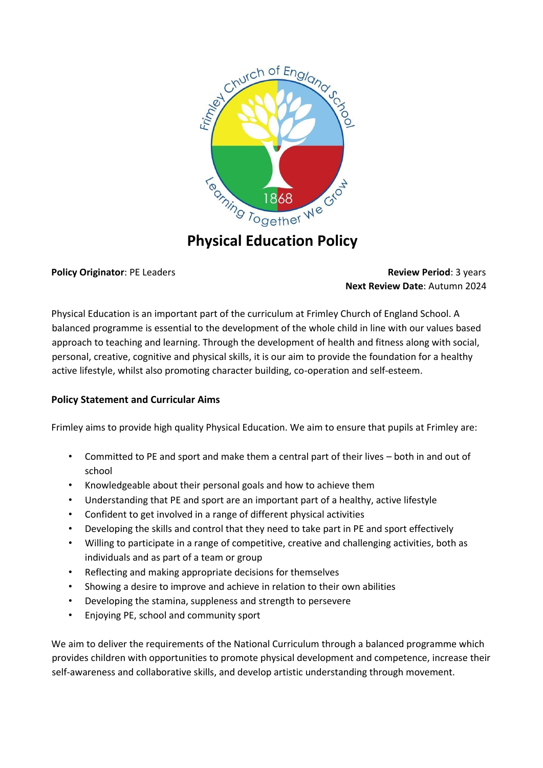

# **Physical Education Policy**

# **Policy Originator**: PE Leaders **Review Period**: 3 years **Next Review Date**: Autumn 2024

Physical Education is an important part of the curriculum at Frimley Church of England School. A balanced programme is essential to the development of the whole child in line with our values based approach to teaching and learning. Through the development of health and fitness along with social, personal, creative, cognitive and physical skills, it is our aim to provide the foundation for a healthy active lifestyle, whilst also promoting character building, co-operation and self-esteem.

# **Policy Statement and Curricular Aims**

Frimley aims to provide high quality Physical Education. We aim to ensure that pupils at Frimley are:

- Committed to PE and sport and make them a central part of their lives both in and out of school
- Knowledgeable about their personal goals and how to achieve them
- Understanding that PE and sport are an important part of a healthy, active lifestyle
- Confident to get involved in a range of different physical activities
- Developing the skills and control that they need to take part in PE and sport effectively
- Willing to participate in a range of competitive, creative and challenging activities, both as individuals and as part of a team or group
- Reflecting and making appropriate decisions for themselves
- Showing a desire to improve and achieve in relation to their own abilities
- Developing the stamina, suppleness and strength to persevere
- Enjoying PE, school and community sport

We aim to deliver the requirements of the National Curriculum through a balanced programme which provides children with opportunities to promote physical development and competence, increase their self-awareness and collaborative skills, and develop artistic understanding through movement.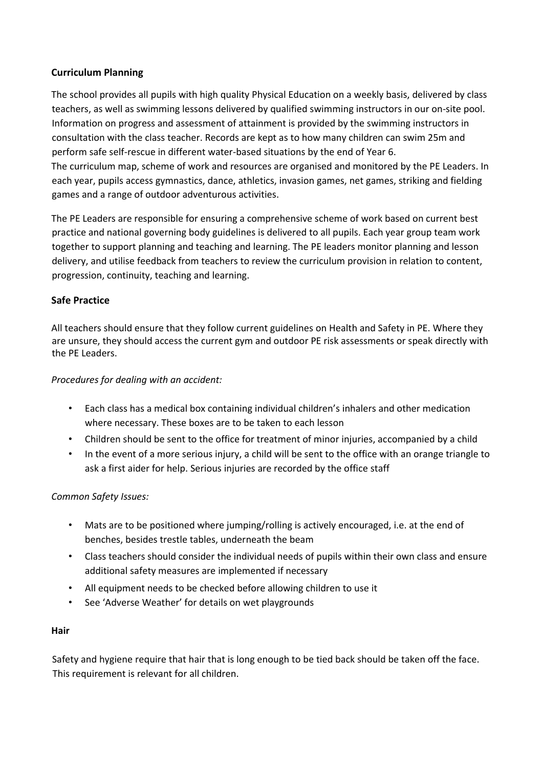# **Curriculum Planning**

The school provides all pupils with high quality Physical Education on a weekly basis, delivered by class teachers, as well as swimming lessons delivered by qualified swimming instructors in our on-site pool. Information on progress and assessment of attainment is provided by the swimming instructors in consultation with the class teacher. Records are kept as to how many children can swim 25m and perform safe self-rescue in different water-based situations by the end of Year 6. The curriculum map, scheme of work and resources are organised and monitored by the PE Leaders. In each year, pupils access gymnastics, dance, athletics, invasion games, net games, striking and fielding games and a range of outdoor adventurous activities.

The PE Leaders are responsible for ensuring a comprehensive scheme of work based on current best practice and national governing body guidelines is delivered to all pupils. Each year group team work together to support planning and teaching and learning. The PE leaders monitor planning and lesson delivery, and utilise feedback from teachers to review the curriculum provision in relation to content, progression, continuity, teaching and learning.

# **Safe Practice**

All teachers should ensure that they follow current guidelines on Health and Safety in PE. Where they are unsure, they should access the current gym and outdoor PE risk assessments or speak directly with the PE Leaders.

# *Procedures for dealing with an accident:*

- Each class has a medical box containing individual children's inhalers and other medication where necessary. These boxes are to be taken to each lesson
- Children should be sent to the office for treatment of minor injuries, accompanied by a child
- In the event of a more serious injury, a child will be sent to the office with an orange triangle to ask a first aider for help. Serious injuries are recorded by the office staff

# *Common Safety Issues:*

- Mats are to be positioned where jumping/rolling is actively encouraged, i.e. at the end of benches, besides trestle tables, underneath the beam
- Class teachers should consider the individual needs of pupils within their own class and ensure additional safety measures are implemented if necessary
- All equipment needs to be checked before allowing children to use it
- See 'Adverse Weather' for details on wet playgrounds

# **Hair**

Safety and hygiene require that hair that is long enough to be tied back should be taken off the face. This requirement is relevant for all children.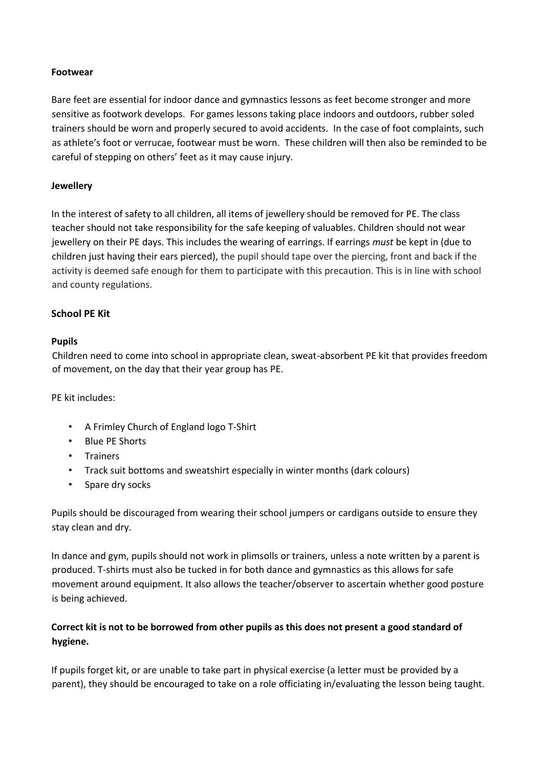# **Footwear**

Bare feet are essential for indoor dance and gymnastics lessons as feet become stronger and more sensitive as footwork develops. For games lessons taking place indoors and outdoors, rubber soled trainers should be worn and properly secured to avoid accidents. In the case of foot complaints, such as athlete's foot or verrucae, footwear must be worn. These children will then also be reminded to be careful of stepping on others' feet as it may cause injury.

#### **Jewellery**

In the interest of safety to all children, all items of jewellery should be removed for PE. The class teacher should not take responsibility for the safe keeping of valuables. Children should not wear jewellery on their PE days. This includes the wearing of earrings. If earrings *must* be kept in (due to children just having their ears pierced), the pupil should tape over the piercing, front and back if the activity is deemed safe enough for them to participate with this precaution. This is in line with school and county regulations.

# **School PE Kit**

# **Pupils**

Children need to come into school in appropriate clean, sweat-absorbent PE kit that provides freedom of movement, on the day that their year group has PE.

PE kit includes:

- A Frimley Church of England logo T-Shirt
- Blue PE Shorts
- Trainers
- Track suit bottoms and sweatshirt especially in winter months (dark colours)
- Spare dry socks

Pupils should be discouraged from wearing their school jumpers or cardigans outside to ensure they stay clean and dry.

In dance and gym, pupils should not work in plimsolls or trainers, unless a note written by a parent is produced. T-shirts must also be tucked in for both dance and gymnastics as this allows for safe movement around equipment. It also allows the teacher/observer to ascertain whether good posture is being achieved.

# **Correct kit is not to be borrowed from other pupils as this does not present a good standard of hygiene.**

If pupils forget kit, or are unable to take part in physical exercise (a letter must be provided by a parent), they should be encouraged to take on a role officiating in/evaluating the lesson being taught.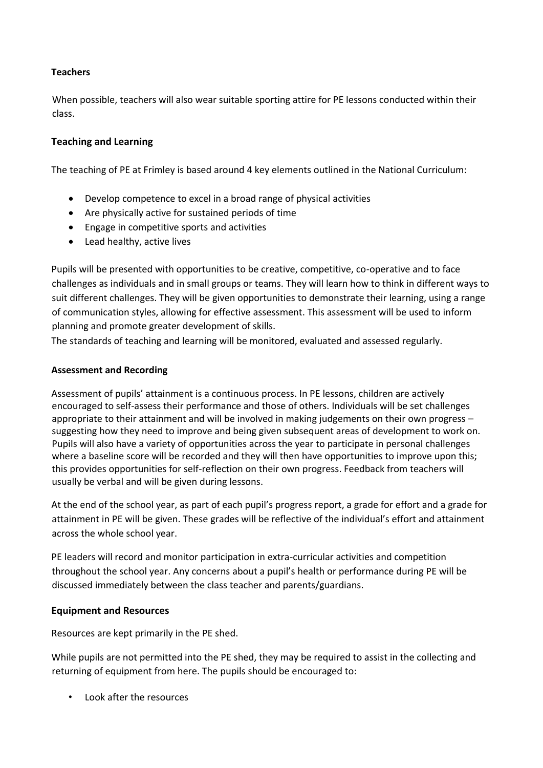# **Teachers**

When possible, teachers will also wear suitable sporting attire for PE lessons conducted within their class.

# **Teaching and Learning**

The teaching of PE at Frimley is based around 4 key elements outlined in the National Curriculum:

- Develop competence to excel in a broad range of physical activities
- Are physically active for sustained periods of time
- Engage in competitive sports and activities
- Lead healthy, active lives

Pupils will be presented with opportunities to be creative, competitive, co-operative and to face challenges as individuals and in small groups or teams. They will learn how to think in different ways to suit different challenges. They will be given opportunities to demonstrate their learning, using a range of communication styles, allowing for effective assessment. This assessment will be used to inform planning and promote greater development of skills.

The standards of teaching and learning will be monitored, evaluated and assessed regularly.

#### **Assessment and Recording**

Assessment of pupils' attainment is a continuous process. In PE lessons, children are actively encouraged to self-assess their performance and those of others. Individuals will be set challenges appropriate to their attainment and will be involved in making judgements on their own progress – suggesting how they need to improve and being given subsequent areas of development to work on. Pupils will also have a variety of opportunities across the year to participate in personal challenges where a baseline score will be recorded and they will then have opportunities to improve upon this; this provides opportunities for self-reflection on their own progress. Feedback from teachers will usually be verbal and will be given during lessons.

At the end of the school year, as part of each pupil's progress report, a grade for effort and a grade for attainment in PE will be given. These grades will be reflective of the individual's effort and attainment across the whole school year.

PE leaders will record and monitor participation in extra-curricular activities and competition throughout the school year. Any concerns about a pupil's health or performance during PE will be discussed immediately between the class teacher and parents/guardians.

# **Equipment and Resources**

Resources are kept primarily in the PE shed.

While pupils are not permitted into the PE shed, they may be required to assist in the collecting and returning of equipment from here. The pupils should be encouraged to:

• Look after the resources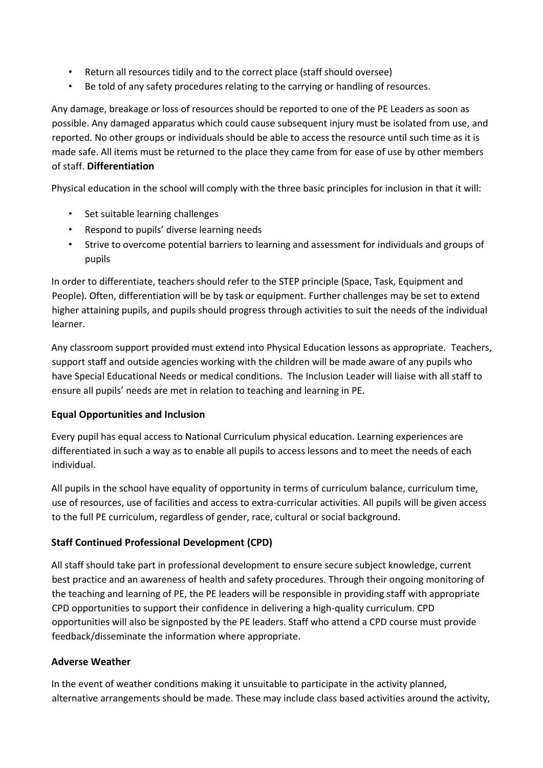- Return all resources tidily and to the correct place (staff should oversee)
- Be told of any safety procedures relating to the carrying or handling of resources.

Any damage, breakage or loss of resources should be reported to one of the PE Leaders as soon as possible. Any damaged apparatus which could cause subsequent injury must be isolated from use, and reported. No other groups or individuals should be able to access the resource until such time as it is made safe. All items must be returned to the place they came from for ease of use by other members of staff. **Differentiation** 

Physical education in the school will comply with the three basic principles for inclusion in that it will:

- Set suitable learning challenges
- Respond to pupils' diverse learning needs
- Strive to overcome potential barriers to learning and assessment for individuals and groups of pupils

In order to differentiate, teachers should refer to the STEP principle (Space, Task, Equipment and People). Often, differentiation will be by task or equipment. Further challenges may be set to extend higher attaining pupils, and pupils should progress through activities to suit the needs of the individual learner.

Any classroom support provided must extend into Physical Education lessons as appropriate. Teachers, support staff and outside agencies working with the children will be made aware of any pupils who have Special Educational Needs or medical conditions. The Inclusion Leader will liaise with all staff to ensure all pupils' needs are met in relation to teaching and learning in PE.

# **Equal Opportunities and Inclusion**

Every pupil has equal access to National Curriculum physical education. Learning experiences are differentiated in such a way as to enable all pupils to access lessons and to meet the needs of each individual.

All pupils in the school have equality of opportunity in terms of curriculum balance, curriculum time, use of resources, use of facilities and access to extra-curricular activities. All pupils will be given access to the full PE curriculum, regardless of gender, race, cultural or social background.

# **Staff Continued Professional Development (CPD)**

All staff should take part in professional development to ensure secure subject knowledge, current best practice and an awareness of health and safety procedures. Through their ongoing monitoring of the teaching and learning of PE, the PE leaders will be responsible in providing staff with appropriate CPD opportunities to support their confidence in delivering a high-quality curriculum. CPD opportunities will also be signposted by the PE leaders. Staff who attend a CPD course must provide feedback/disseminate the information where appropriate.

# **Adverse Weather**

In the event of weather conditions making it unsuitable to participate in the activity planned, alternative arrangements should be made. These may include class based activities around the activity,